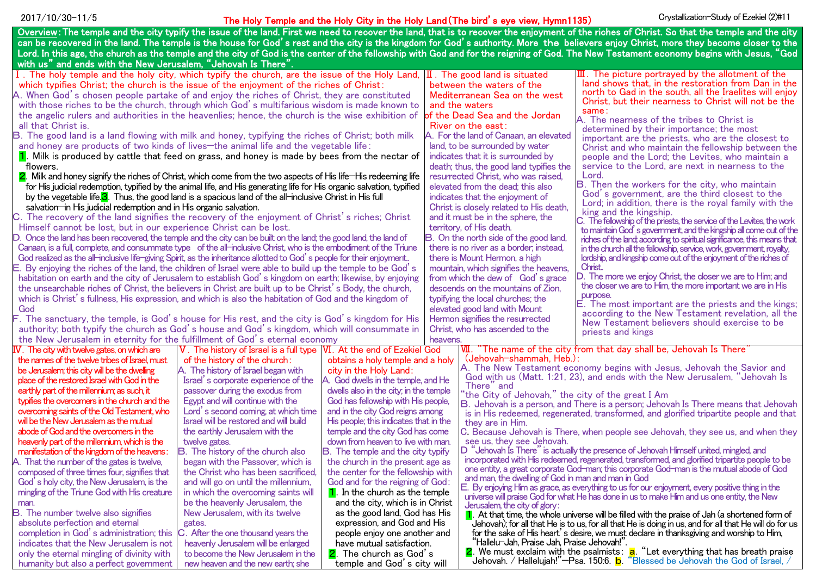# The Holy Temple and the Holy City in the Holy Land(The bird's eye view, Hymn1135) 2017/10/30-11/5 Crystallization-Study of Ezekiel (2)#11

| Overview: The temple and the city typify the issue of the land. First we need to recover the land, that is to recover the enjoyment of the riches of Christ. So that the temple and the city |                                               |                                          |                                                    |                                                                                                                                                                                                    |  |  |  |
|----------------------------------------------------------------------------------------------------------------------------------------------------------------------------------------------|-----------------------------------------------|------------------------------------------|----------------------------------------------------|----------------------------------------------------------------------------------------------------------------------------------------------------------------------------------------------------|--|--|--|
| can be recovered in the land. The temple is the house for God's rest and the city is the kingdom for God's authority. More the believers enjoy Christ, more they become closer to the        |                                               |                                          |                                                    |                                                                                                                                                                                                    |  |  |  |
| Lord. In this age, the church as the temple and the city of God is the center of the fellowship with God and for the reigning of God. The New Testament economy begins with Jesus, "God      |                                               |                                          |                                                    |                                                                                                                                                                                                    |  |  |  |
| with us" and ends with the New Jerusalem, "Jehovah Is There".                                                                                                                                |                                               |                                          |                                                    |                                                                                                                                                                                                    |  |  |  |
| I. The holy temple and the holy city, which typify the church, are the issue of the Holy Land, $ I\!I $ . The good land is situated                                                          |                                               |                                          |                                                    | $\mathbb{I}$ . The picture portrayed by the allotment of the                                                                                                                                       |  |  |  |
| which typifies Christ; the church is the issue of the enjoyment of the riches of Christ:                                                                                                     |                                               |                                          | between the waters of the                          | land shows that, in the restoration from Dan in the<br>north to Gad in the south, all the Iraelites will enjoy                                                                                     |  |  |  |
| A. When God's chosen people partake of and enjoy the riches of Christ, they are constituted                                                                                                  |                                               |                                          | Mediterranean Sea on the west                      | Christ, but their nearness to Christ will not be the                                                                                                                                               |  |  |  |
| with those riches to be the church, through which God's multifarious wisdom is made known to                                                                                                 |                                               |                                          | and the waters                                     | same:                                                                                                                                                                                              |  |  |  |
| the angelic rulers and authorities in the heavenlies; hence, the church is the wise exhibition of                                                                                            |                                               |                                          | of the Dead Sea and the Jordan                     | A. The nearness of the tribes to Christ is                                                                                                                                                         |  |  |  |
| all that Christ is.                                                                                                                                                                          |                                               |                                          | River on the east:                                 | determined by their importance; the most                                                                                                                                                           |  |  |  |
| B. The good land is a land flowing with milk and honey, typifying the riches of Christ; both milk                                                                                            |                                               |                                          | A. For the land of Canaan, an elevated             | important are the priests, who are the closest to                                                                                                                                                  |  |  |  |
| and honey are products of two kinds of lives-the animal life and the vegetable life:                                                                                                         |                                               |                                          | land, to be surrounded by water                    | Christ and who maintain the fellowship between the                                                                                                                                                 |  |  |  |
| $\mathbf 1$ . Milk is produced by cattle that feed on grass, and honey is made by bees from the nectar of                                                                                    |                                               |                                          | indicates that it is surrounded by                 | people and the Lord; the Levites, who maintain a                                                                                                                                                   |  |  |  |
| flowers.                                                                                                                                                                                     |                                               |                                          | death; thus, the good land typifies the            | service to the Lord, are next in nearness to the                                                                                                                                                   |  |  |  |
| 2. Milk and honey signify the riches of Christ, which come from the two aspects of His life—His redeeming life                                                                               |                                               |                                          | resurrected Christ, who was raised,                | Lord.                                                                                                                                                                                              |  |  |  |
| for His judicial redemption, typified by the animal life, and His generating life for His organic salvation, typified                                                                        |                                               |                                          | elevated from the dead: this also                  | <b>B.</b> Then the workers for the city, who maintain                                                                                                                                              |  |  |  |
| by the vegetable life. <sup>3</sup> . Thus, the good land is a spacious land of the all-inclusive Christ in His full                                                                         |                                               |                                          | indicates that the enjoyment of                    | God's government, are the third closest to the<br>Lord; in addition, there is the royal family with the                                                                                            |  |  |  |
| salvation—in His judicial redemption and in His organic salvation.                                                                                                                           |                                               |                                          | Christ is closely related to His death,            | king and the kingship.                                                                                                                                                                             |  |  |  |
| C. The recovery of the land signifies the recovery of the enjoyment of Christ's riches; Christ                                                                                               |                                               |                                          | and it must be in the sphere, the                  | C. The fellowship of the priests, the service of the Levites, the work                                                                                                                             |  |  |  |
| Himself cannot be lost, but in our experience Christ can be lost.                                                                                                                            |                                               |                                          | territory, of His death.                           | to maintain God's government, and the kingship all come out of the                                                                                                                                 |  |  |  |
| D. Once the land has been recovered, the temple and the city can be built on the land; the good land, the land of                                                                            |                                               |                                          | B. On the north side of the good land,             | riches of the land; according to spiritual significance, this means that                                                                                                                           |  |  |  |
| Canaan, is a full, complete, and consummate type of the all-inclusive Christ, who is the embodiment of the Triune                                                                            |                                               |                                          | there is no river as a border; instead.            | in the church all the fellowship, service, work, government, royalty,                                                                                                                              |  |  |  |
| God realized as the all-inclusive life-giving Spirit, as the inheritance allotted to God's people for their enjoyment                                                                        |                                               |                                          | there is Mount Hermon, a high                      | lordship, and kingship come out of the enjoyment of the riches of                                                                                                                                  |  |  |  |
| Е.<br>By enjoying the riches of the land, the children of Israel were able to build up the temple to be God's                                                                                |                                               |                                          | mountain, which signifies the heavens.             | Christ.                                                                                                                                                                                            |  |  |  |
| habitation on earth and the city of Jerusalem to establish God's kingdom on earth; likewise, by enjoying                                                                                     |                                               |                                          | from which the dew of God's grace                  | D. The more we enjoy Christ, the closer we are to Him; and                                                                                                                                         |  |  |  |
| the unsearchable riches of Christ, the believers in Christ are built up to be Christ's Body, the church,                                                                                     |                                               |                                          | descends on the mountains of Zion,                 | the closer we are to Him, the more important we are in His                                                                                                                                         |  |  |  |
| which is Christ's fullness, His expression, and which is also the habitation of God and the kingdom of                                                                                       |                                               |                                          | typifying the local churches; the                  | purpose.                                                                                                                                                                                           |  |  |  |
| God                                                                                                                                                                                          |                                               |                                          | elevated good land with Mount                      | E. The most important are the priests and the kings;<br>according to the New Testament revelation, all the                                                                                         |  |  |  |
| F. The sanctuary, the temple, is God's house for His rest, and the city is God's kingdom for His                                                                                             |                                               |                                          | Hermon signifies the resurrected                   | New Testament believers should exercise to be                                                                                                                                                      |  |  |  |
| authority; both typify the church as God's house and God's kingdom, which will consummate in                                                                                                 |                                               |                                          | Christ, who has ascended to the                    | priests and kings                                                                                                                                                                                  |  |  |  |
| the New Jerusalem in eternity for the fulfillment of God's eternal economy                                                                                                                   |                                               |                                          | heavens.                                           |                                                                                                                                                                                                    |  |  |  |
| $V$ . The city with twelve gates, on which are                                                                                                                                               | V. The history of Israel is a full type       | VI. At the end of Ezekiel God            |                                                    | VII. "The name of the city from that day shall be, Jehovah Is There                                                                                                                                |  |  |  |
| the names of the twelve tribes of Israel, must                                                                                                                                               | of the history of the church:                 | obtains a holy temple and a holy         | (Jehovah-shammah, Heb.):                           |                                                                                                                                                                                                    |  |  |  |
| be Jerusalem; this city will be the dwelling                                                                                                                                                 | A. The history of Israel began with           | city in the Holy Land:                   |                                                    | A. The New Testament economy begins with Jesus, Jehovah the Savior and                                                                                                                             |  |  |  |
| place of the restored Israel with God in the                                                                                                                                                 | Israel s corporate experience of the          | A. God dwells in the temple, and He      | There" and                                         | God with us (Matt. 1:21, 23), and ends with the New Jerusalem, "Jehovah Is                                                                                                                         |  |  |  |
| earthly part of the millennium; as such, it                                                                                                                                                  | passover during the exodus from               | dwells also in the city; in the temple   | 'the City of Jehovah," the city of the great I Am  |                                                                                                                                                                                                    |  |  |  |
| typifies the overcomers in the church and the                                                                                                                                                | Egypt and will continue with the              | God has fellowship with His people,      |                                                    | B. Jehovah is a person, and There is a person; Jehovah Is There means that Jehovah                                                                                                                 |  |  |  |
| overcoming saints of the Old Testament, who                                                                                                                                                  | Lord's second coming, at which time           | and in the city God reigns among         |                                                    | is in His redeemed, regenerated, transformed, and glorified tripartite people and that                                                                                                             |  |  |  |
| will be the New Jerusalem as the mutual                                                                                                                                                      | <b>Israel will be restored and will build</b> | His people; this indicates that in the   | they are in Him.                                   |                                                                                                                                                                                                    |  |  |  |
| abode of God and the overcomers in the                                                                                                                                                       | the earthly Jerusalem with the                | temple and the city God has come         |                                                    | C. Because Jehovah is There, when people see Jehovah, they see us, and when they                                                                                                                   |  |  |  |
| heavenly part of the millennium, which is the                                                                                                                                                | twelve gates.                                 | down from heaven to live with man.       | see us, they see Jehovah.                          |                                                                                                                                                                                                    |  |  |  |
| manifestation of the kingdom of the heavens:                                                                                                                                                 | <b>B.</b> The history of the church also      | <b>B.</b> The temple and the city typify |                                                    | D "Jehovah Is There" is actually the presence of Jehovah Himself united, mingled, and<br>incorporated with His redeemed, regenerated, transformed, and glorified tripartite people to be           |  |  |  |
| A. That the number of the gates is twelve,                                                                                                                                                   | began with the Passover, which is             | the church in the present age as         |                                                    | one entity, a great corporate God-man; this corporate God-man is the mutual abode of God                                                                                                           |  |  |  |
| composed of three times four, signifies that                                                                                                                                                 | the Christ who has been sacrificed            | the center for the fellowship with       | and man, the dwelling of God in man and man in God |                                                                                                                                                                                                    |  |  |  |
| God's holy city, the New Jerusalem, is the                                                                                                                                                   | and will go on until the millennium,          | God and for the reigning of God:         |                                                    | E. By enjoying Him as grace, as everything to us for our enjoyment, every positive thing in the                                                                                                    |  |  |  |
| mingling of the Triune God with His creature                                                                                                                                                 | in which the overcoming saints will           | $\vert$ 1. In the church as the temple   |                                                    | universe will praise God for what He has done in us to make Him and us one entity, the New                                                                                                         |  |  |  |
| man.                                                                                                                                                                                         | be the heavenly Jerusalem, the                | and the city, which is in Christ         | Jerusalem, the city of glory:                      |                                                                                                                                                                                                    |  |  |  |
| <b>B.</b> The number twelve also signifies                                                                                                                                                   | New Jerusalem, with its twelve                | as the good land, God has His            |                                                    | $\blacksquare$ . At that time, the whole universe will be filled with the praise of Jah (a shortened form of                                                                                       |  |  |  |
| absolute perfection and eternal                                                                                                                                                              | gates.                                        | expression, and God and His              |                                                    | Jehovah); for all that He is to us, for all that He is doing in us, and for all that He will do for us                                                                                             |  |  |  |
| completion in God's administration; this                                                                                                                                                     | C. After the one thousand years the           | people enjoy one another and             | "Hallelu-Jah, Praise Jah, Praise Jehovah!".        | for the sake of His heart's desire, we must declare in thanksgiving and worship to Him,                                                                                                            |  |  |  |
| indicates that the New Jerusalem is not                                                                                                                                                      | heavenly Jerusalem will be enlarged           | have mutual satisfaction.                |                                                    |                                                                                                                                                                                                    |  |  |  |
| only the eternal mingling of divinity with                                                                                                                                                   | to become the New Jerusalem in the            | 2. The church as God's                   |                                                    | <b>2</b> . We must exclaim with the psalmists: $\frac{a}{b}$ . "Let everything that has breath praise Jehovah. / Hallelujah!"—Psa. 150:6. $\frac{b}{c}$ . "Blessed be Jehovah the God of Israel, / |  |  |  |
| humanity but also a perfect government                                                                                                                                                       | new heaven and the new earth; she             | temple and God's city will               |                                                    |                                                                                                                                                                                                    |  |  |  |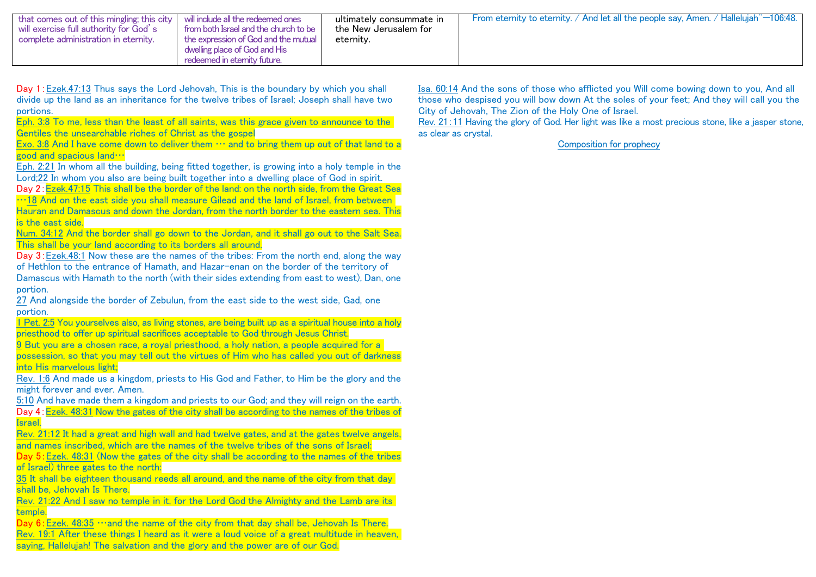| that comes out of this mingling; this city   will include all the redeemed ones<br>will exercise full authority for God's<br>from both Israel and the church to be<br>complete administration in eternity.<br>the expression of God and the mutual<br>dwelling place of God and His<br>redeemed in eternity future. | ultimately consummate in<br>the New Jerusalem for<br>eternity. | From eternity to eternity. / And let all the people say, Amen. / Hallelujah <sup>"-106:48</sup> . |
|---------------------------------------------------------------------------------------------------------------------------------------------------------------------------------------------------------------------------------------------------------------------------------------------------------------------|----------------------------------------------------------------|---------------------------------------------------------------------------------------------------|
|---------------------------------------------------------------------------------------------------------------------------------------------------------------------------------------------------------------------------------------------------------------------------------------------------------------------|----------------------------------------------------------------|---------------------------------------------------------------------------------------------------|

Day 1:Ezek.47:13 Thus says the Lord Jehovah, This is the boundary by which you shall divide up the land as an inheritance for the twelve tribes of Israel; Joseph shall have two portions.

Eph. 3:8 To me, less than the least of all saints, was this grace given to announce to the Gentiles the unsearchable riches of Christ as the gospel

Exo. 3:8 And I have come down to deliver them  $\cdots$  and to bring them up out of that land to a good and spacious land…

Eph. 2:21 In whom all the building, being fitted together, is growing into a holy temple in the Lord;22 In whom you also are being built together into a dwelling place of God in spirit.

Day 2:Ezek.47:15 This shall be the border of the land: on the north side, from the Great Sea …18 And on the east side you shall measure Gilead and the land of Israel, from between Hauran and Damascus and down the Jordan, from the north border to the eastern sea. This is the east side.

Num. 34:12 And the border shall go down to the Jordan, and it shall go out to the Salt Sea. This shall be your land according to its borders all around.

Day 3:Ezek.48:1 Now these are the names of the tribes: From the north end, along the way of Hethlon to the entrance of Hamath, and Hazar-enan on the border of the territory of Damascus with Hamath to the north (with their sides extending from east to west), Dan, one portion.

27 And alongside the border of Zebulun, from the east side to the west side, Gad, one portion.

1 Pet. 2:5 You yourselves also, as living stones, are being built up as a spiritual house into a holy priesthood to offer up spiritual sacrifices acceptable to God through Jesus Christ.

9 But you are a chosen race, a royal priesthood, a holy nation, a people acquired for a possession, so that you may tell out the virtues of Him who has called you out of darkness into His marvelous light;

Rev. 1:6 And made us a kingdom, priests to His God and Father, to Him be the glory and the might forever and ever. Amen.

5:10 And have made them a kingdom and priests to our God; and they will reign on the earth. Day 4:Ezek. 48:31 Now the gates of the city shall be according to the names of the tribes of Israel.

Rev. 21:12 It had a great and high wall and had twelve gates, and at the gates twelve angels, and names inscribed, which are the names of the twelve tribes of the sons of Israel:

Day 5:Ezek. 48:31 (Now the gates of the city shall be according to the names of the tribes of Israel) three gates to the north:

35 It shall be eighteen thousand reeds all around, and the name of the city from that day shall be, Jehovah Is There.

Rev. 21:22 And I saw no temple in it, for the Lord God the Almighty and the Lamb are its temple.

Day  $6:$  Ezek. 48:35 …and the name of the city from that day shall be, Jehovah Is There. Rev. 19:1 After these things I heard as it were a loud voice of a great multitude in heaven, saying, Hallelujah! The salvation and the glory and the power are of our God.

Isa. 60:14 And the sons of those who afflicted you Will come bowing down to you, And all those who despised you will bow down At the soles of your feet; And they will call you the City of Jehovah, The Zion of the Holy One of Israel.

Rev. 21:11 Having the glory of God. Her light was like a most precious stone, like a jasper stone, as clear as crystal.

Composition for prophecy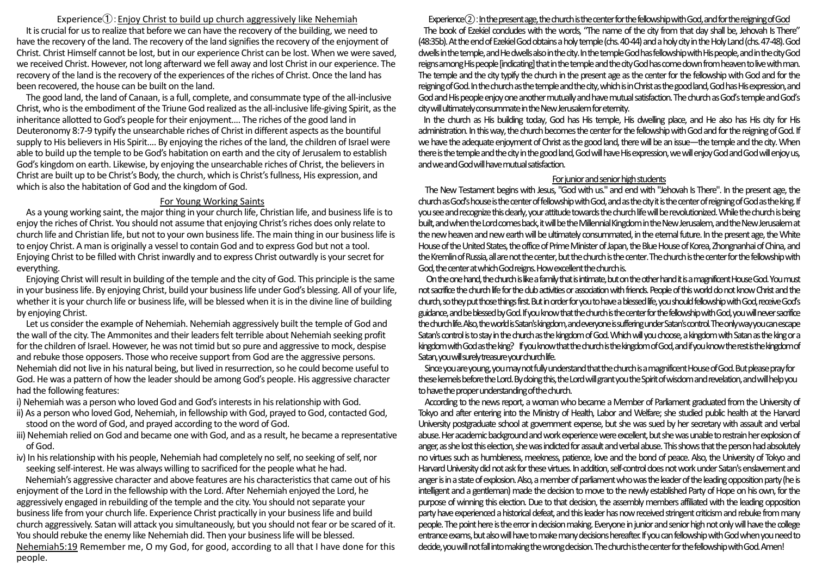Experience $\hat{I}$ : Enjoy Christ to build up church aggressively like Nehemiah It is crucial for us to realize that before we can have the recovery of the building, we need to have the recovery of the land. The recovery of the land signifies the recovery of the enjoyment of Christ. Christ Himself cannot be lost, but in our experience Christ can be lost. When we were saved, we received Christ. However, not long afterward we fell away and lost Christ in our experience. The recovery of the land is the recovery of the experiences of the riches of Christ. Once the land has been recovered, the house can be built on the land.

The good land, the land of Canaan, is a full, complete, and consummate type of the all-inclusive Christ, who is the embodiment of the Triune God realized as the all-inclusive life-giving Spirit, as the inheritance allotted to God's people for their enjoyment.... The riches of the good land in Deuteronomy 8:7-9 typify the unsearchable riches of Christ in different aspects as the bountiful supply to His believers in His Spirit.... By enjoying the riches of the land, the children of Israel were able to build up the temple to be God's habitation on earth and the city of Jerusalem to establish God's kingdom on earth. Likewise, by enjoying the unsearchable riches of Christ, the believers in Christ are built up to be Christ's Body, the church, which is Christ's fullness, His expression, and which is also the habitation of God and the kingdom of God.

#### For Young Working Saints

As a young working saint, the major thing in your church life, Christian life, and business life is to enjoy the riches of Christ. You should not assume that enjoying Christ's riches does only relate to church life and Christian life, but not to your own business life. The main thing in our business life is to enjoy Christ. A man is originally a vessel to contain God and to express God but not a tool. Enjoying Christ to be filled with Christ inwardly and to express Christ outwardly is your secret for everything.

Enjoying Christ will result in building of the temple and the city of God. This principle is the same in your business life. By enjoying Christ, build your business life under God's blessing. All of your life, whether it is your church life or business life, will be blessed when it is in the divine line of building by enjoying Christ.

Let us consider the example of Nehemiah. Nehemiah aggressively built the temple of God and the wall of the city. The Ammonites and their leaders felt terrible about Nehemiah seeking profit for the children of Israel. However, he was not timid but so pure and aggressive to mock, despise and rebuke those opposers. Those who receive support from God are the aggressive persons. Nehemiah did not live in his natural being, but lived in resurrection, so he could become useful to God. He was a pattern of how the leader should be among God's people. His aggressive character had the following features:

i) Nehemiah was a person who loved God and God's interests in his relationship with God.

- ii) As a person who loved God, Nehemiah, in fellowship with God, prayed to God, contacted God, stood on the word of God, and prayed according to the word of God.
- iii) Nehemiah relied on God and became one with God, and as a result, he became a representative of God.
- iv) In his relationship with his people, Nehemiah had completely no self, no seeking of self, nor seeking self-interest. He was always willing to sacrificed for the people what he had.

 Nehemiah's aggressive character and above features are his characteristics that came out of his enjoyment of the Lord in the fellowship with the Lord. After Nehemiah enjoyed the Lord, he aggressively engaged in rebuilding of the temple and the city. You should not separate your business life from your church life. Experience Christ practically in your business life and build church aggressively. Satan will attack you simultaneously, but you should not fear or be scared of it. You should rebuke the enemy like Nehemiah did. Then your business life will be blessed. Nehemiah5:19 Remember me, O my God, for good, according to all that I have done for this people.

### $E$ xperience $(2)$ : In the present age, the church is the center for the fellowship with God, and for the reigning of God

The book of Ezekiel concludes with the words, "The name of the city from that day shall be, Jehovah Is There" (48:35b). At the end of Ezekiel God obtains a holy temple (chs. 40-44) and a holy city in the Holy Land (chs. 47-48). God dwells in the temple, and He dwells also in the city. In the temple God has fellowship with His people, and in the city God reigns among His people [indicating] that in the temple and the city God has come down from heaven to live with man. The temple and the city typify the church in the present age as the center for the fellowship with God and for the reigning of God. In the church as the temple and the city, which is in Christ as the good land, God has His expression, and God and His people enjoy one another mutually and have mutual satisfaction. The church as God's temple and God's city will ultimately consummate in the New Jerusalem for eternity.

In the church as His building today, God has His temple, His dwelling place, and He also has His city for His administration. In this way, the church becomes the center for the fellowship with God and for the reigning of God. If we have the adequate enjoyment of Christ as the good land, there will be an issue—the temple and the city. When there is the temple and the city in the good land, God will have His expression, we will enjoy God and God will enjoy us, and we and God will have mutual satisfaction.

## For junior and senior high students

The New Testament begins with Jesus, "God with us." and end with "Jehovah Is There". In the present age, the church as God's houseis the center of fellowship with God, and as the city it is the center of reigning of God as the king. If you see and recognize this clearly, your attitude towards the church life will be revolutionized. While the church is being built, and when the Lord comes back, it will be the Millennial Kingdom in the New Jerusalem, and the New Jerusalem at the new heaven and new earth will be ultimately consummated, in the eternal future. In the present age, the White House of the United States, the office of Prime Minister of Japan, the Blue House of Korea, Zhongnanhai of China, and the Kremlin of Russia, all are not the center, but the church is the center. The church is the center for thefellowship with God, the center at which God reigns. How excellent the church is.

On the one hand, the church is likea family that is intimate, but on the other hand it is a magnificent House God. You must not sacrifice the church life for the club activities or association with friends. People of this world do not know Christ and the church, so they put those things first.But in order for you to have a blessed life, you should fellowship with God, receive God's guidance, and be blessed by God. If you know that the church is the center for the fellowship with God, you will never sacrifice the church life. Also, the world is Satan's kingdom, and everyone is suffering under Satan's control. The only way you can escape Satan's control is to stay in the church asthe kingdom of God. Which will you choose, a kingdomwith Satan as the king or a kingdom with God as the king? If you know that the church is the kingdom of God, and if you know the rest is the kingdom of Satan, you will surely treasure your church life.

Since you are young, you may not fully understand that the church isa magnificent House of God. But please pray for these kernels before the Lord. By doing this, the Lord will grantyou the Spirit of wisdom and revelation, and will help you to have the proper understandingof the church.

According to the news report, a woman who became a Member of Parliament graduated from the University of Tokyo and after entering into the Ministry of Health, Labor and Welfare; she studied public health at the Harvard University postgraduate school at government expense, but she was sued by her secretary with assault and verbal abuse. Her academic background and work experience were excellent, but she was unable to restrain her explosion of anger, as she lost this election, she was indicted for assault and verbal abuse.This shows that the person had absolutely no virtues such as humbleness, meekness, patience, love and the bond of peace. Also, the University of Tokyo and Harvard University did not ask for these virtues. In addition, self-control does not work under Satan's enslavement and anger is in a state of explosion. Also, a member of parliament who was the leader of the leading opposition party (he is intelligent and a gentleman) made the decision to move to the newly established Party of Hope on his own, for the purpose of winning this election. Due to that decision, the assembly members affiliated with the leading opposition party have experienced a historical defeat, and this leader has now received stringent criticism and rebuke from many people. The point here is the error in decision making. Everyone in junior and senior high not only will have the college entrance exams, but alsowillhave tomake many decisions hereafter. If you can fellowship with God when you needto decide, you will not fall into making the wrong decision. The church is the center for the fellowship with God. Amen!